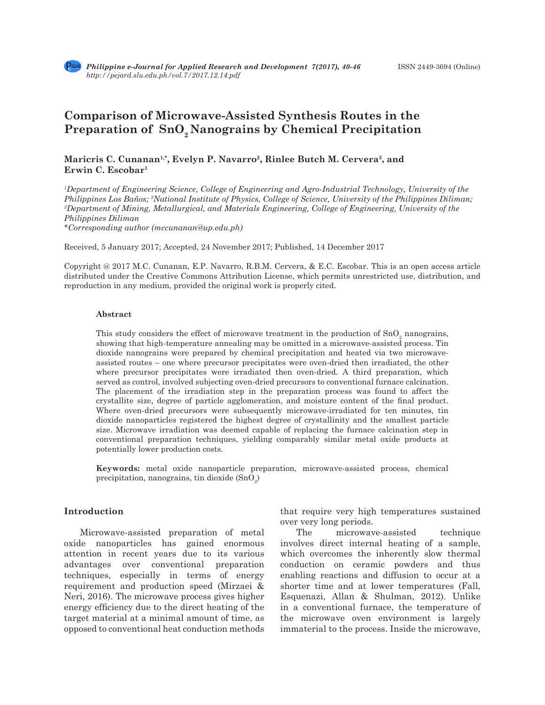# **Comparison of Microwave-Assisted Synthesis Routes in the**  Preparation of SnO<sub>2</sub> Nanograins by Chemical Precipitation

## **Maricris C. Cunanan1,\*, Evelyn P. Navarro2, Rinlee Butch M. Cervera3, and Erwin C. Escobar1**

*1 Department of Engineering Science, College of Engineering and Agro-Industrial Technology, University of the Philippines Los Baños; <sup>2</sup>National Institute of Physics, College of Science, University of the Philippines Diliman;*<br><sup>3</sup>Department of Mining, Metallyrgical, and Materials Engineering, College of Engineering, University of *Department of Mining, Metallurgical, and Materials Engineering, College of Engineering, University of the Philippines Diliman*

*\*Corresponding author (mccunanan@up.edu.ph)*

Received, 5 January 2017; Accepted, 24 November 2017; Published, 14 December 2017

Copyright @ 2017 M.C. Cunanan, E.P. Navarro, R.B.M. Cervera, & E.C. Escobar. This is an open access article distributed under the Creative Commons Attribution License, which permits unrestricted use, distribution, and reproduction in any medium, provided the original work is properly cited.

#### **Abstract**

This study considers the effect of microwave treatment in the production of  $SnO_2$  nanograins, showing that high-temperature annealing may be omitted in a microwave-assisted process. Tin dioxide nanograins were prepared by chemical precipitation and heated via two microwaveassisted routes – one where precursor precipitates were oven-dried then irradiated, the other where precursor precipitates were irradiated then oven-dried. A third preparation, which served as control, involved subjecting oven-dried precursors to conventional furnace calcination. The placement of the irradiation step in the preparation process was found to affect the crystallite size, degree of particle agglomeration, and moisture content of the final product. Where oven-dried precursors were subsequently microwave-irradiated for ten minutes, tin dioxide nanoparticles registered the highest degree of crystallinity and the smallest particle size. Microwave irradiation was deemed capable of replacing the furnace calcination step in conventional preparation techniques, yielding comparably similar metal oxide products at potentially lower production costs.

**Keywords:** metal oxide nanoparticle preparation, microwave-assisted process, chemical precipitation, nanograins, tin dioxide  $(SnO<sub>2</sub>)$ 

## **Introduction**

Microwave-assisted preparation of metal oxide nanoparticles has gained enormous attention in recent years due to its various advantages over conventional preparation techniques, especially in terms of energy requirement and production speed (Mirzaei & Neri, 2016). The microwave process gives higher energy efficiency due to the direct heating of the target material at a minimal amount of time, as opposed to conventional heat conduction methods

that require very high temperatures sustained over very long periods.

The microwave-assisted technique involves direct internal heating of a sample, which overcomes the inherently slow thermal conduction on ceramic powders and thus enabling reactions and diffusion to occur at a shorter time and at lower temperatures (Fall, Esquenazi, Allan & Shulman, 2012). Unlike in a conventional furnace, the temperature of the microwave oven environment is largely immaterial to the process. Inside the microwave,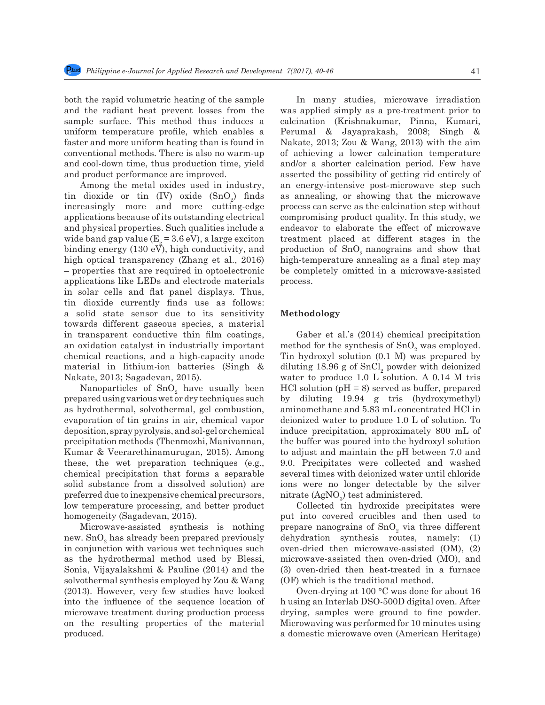both the rapid volumetric heating of the sample and the radiant heat prevent losses from the sample surface. This method thus induces a uniform temperature profile, which enables a faster and more uniform heating than is found in conventional methods. There is also no warm-up and cool-down time, thus production time, yield and product performance are improved.

Among the metal oxides used in industry, tin dioxide or tin  $(IV)$  oxide  $(SnO<sub>2</sub>)$  finds increasingly more and more cutting-edge applications because of its outstanding electrical and physical properties. Such qualities include a wide band gap value ( $E<sub>g</sub>$  = 3.6 eV), a large exciton binding energy (130  $eV$ ), high conductivity, and high optical transparency (Zhang et al., 2016) – properties that are required in optoelectronic applications like LEDs and electrode materials in solar cells and flat panel displays. Thus, tin dioxide currently finds use as follows: a solid state sensor due to its sensitivity towards different gaseous species, a material in transparent conductive thin film coatings, an oxidation catalyst in industrially important chemical reactions, and a high-capacity anode material in lithium-ion batteries (Singh & Nakate, 2013; Sagadevan, 2015).

Nanoparticles of  $SnO<sub>2</sub>$  have usually been prepared using various wet or dry techniques such as hydrothermal, solvothermal, gel combustion, evaporation of tin grains in air, chemical vapor deposition, spray pyrolysis, and sol-gel or chemical precipitation methods (Thenmozhi, Manivannan, Kumar & Veerarethinamurugan, 2015). Among these, the wet preparation techniques (e.g., chemical precipitation that forms a separable solid substance from a dissolved solution) are preferred due to inexpensive chemical precursors, low temperature processing, and better product homogeneity (Sagadevan, 2015).

Microwave-assisted synthesis is nothing new.  $\mathrm{SnO}_2$  has already been prepared previously in conjunction with various wet techniques such as the hydrothermal method used by Blessi, Sonia, Vijayalakshmi & Pauline (2014) and the solvothermal synthesis employed by Zou & Wang (2013). However, very few studies have looked into the influence of the sequence location of microwave treatment during production process on the resulting properties of the material produced.

In many studies, microwave irradiation was applied simply as a pre-treatment prior to calcination (Krishnakumar, Pinna, Kumari, Perumal & Jayaprakash, 2008; Singh & Nakate, 2013; Zou & Wang, 2013) with the aim of achieving a lower calcination temperature and/or a shorter calcination period. Few have asserted the possibility of getting rid entirely of an energy-intensive post-microwave step such as annealing, or showing that the microwave process can serve as the calcination step without compromising product quality. In this study, we endeavor to elaborate the effect of microwave treatment placed at different stages in the production of  $SnO<sub>2</sub>$  nanograins and show that high-temperature annealing as a final step may be completely omitted in a microwave-assisted process.

#### **Methodology**

Gaber et al.'s (2014) chemical precipitation method for the synthesis of  $SnO_2$  was employed. Tin hydroxyl solution (0.1 M) was prepared by diluting 18.96 g of  $SnCl<sub>2</sub>$  powder with deionized water to produce 1.0 L solution. A 0.14 M tris  $HCl$  solution ( $pH = 8$ ) served as buffer, prepared by diluting 19.94 g tris (hydroxymethyl) aminomethane and 5.83 mL concentrated HCl in deionized water to produce 1.0 L of solution. To induce precipitation, approximately 800 mL of the buffer was poured into the hydroxyl solution to adjust and maintain the pH between 7.0 and 9.0. Precipitates were collected and washed several times with deionized water until chloride ions were no longer detectable by the silver nitrate  $(AgNO<sub>3</sub>)$  test administered.

Collected tin hydroxide precipitates were put into covered crucibles and then used to prepare nanograins of  $SnO<sub>2</sub>$  via three different dehydration synthesis routes, namely: (1) oven-dried then microwave-assisted (OM), (2) microwave-assisted then oven-dried (MO), and (3) oven-dried then heat-treated in a furnace (OF) which is the traditional method.

Oven-drying at 100 °C was done for about 16 h using an Interlab DSO-500D digital oven. After drying, samples were ground to fine powder. Microwaving was performed for 10 minutes using a domestic microwave oven (American Heritage)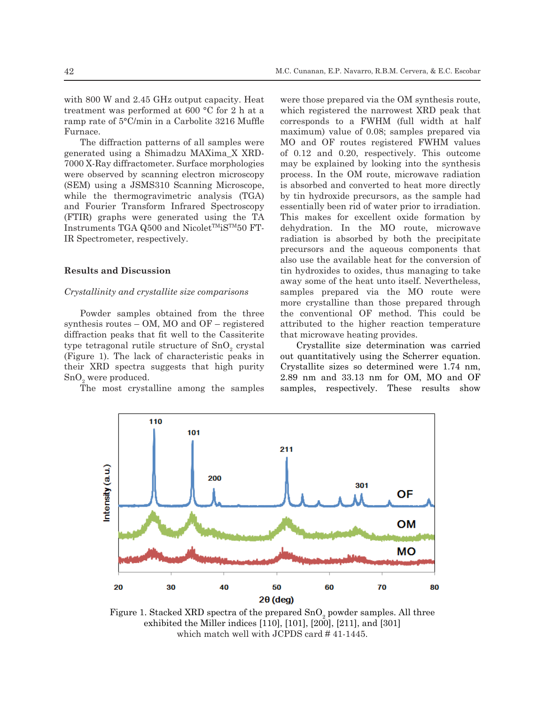with 800 W and 2.45 GHz output capacity. Heat treatment was performed at 600 °C for 2 h at a ramp rate of 5°C/min in a Carbolite 3216 Muffle Furnace.

The diffraction patterns of all samples were generated using a Shimadzu MAXima\_X XRD-7000 X-Ray diffractometer. Surface morphologies were observed by scanning electron microscopy (SEM) using a JSMS310 Scanning Microscope, while the thermogravimetric analysis (TGA) and Fourier Transform Infrared Spectroscopy (FTIR) graphs were generated using the TA Instruments TGA Q500 and Nicolet<sup>TM</sup>iS<sup>TM</sup>50 FT-IR Spectrometer, respectively.

## **Results and Discussion**

#### *Crystallinity and crystallite size comparisons*

Powder samples obtained from the three synthesis routes – OM, MO and OF – registered diffraction peaks that fit well to the Cassiterite type tetragonal rutile structure of  $SnO_2$  crystal (Figure 1). The lack of characteristic peaks in their XRD spectra suggests that high purity  $\mathrm{SnO}_{\scriptscriptstyle{2}}$  were produced.

The most crystalline among the samples

were those prepared via the OM synthesis route, which registered the narrowest XRD peak that corresponds to a FWHM (full width at half maximum) value of 0.08; samples prepared via MO and OF routes registered FWHM values of 0.12 and 0.20, respectively. This outcome may be explained by looking into the synthesis process. In the OM route, microwave radiation is absorbed and converted to heat more directly by tin hydroxide precursors, as the sample had essentially been rid of water prior to irradiation. This makes for excellent oxide formation by dehydration. In the MO route, microwave radiation is absorbed by both the precipitate precursors and the aqueous components that also use the available heat for the conversion of tin hydroxides to oxides, thus managing to take away some of the heat unto itself. Nevertheless, samples prepared via the MO route were more crystalline than those prepared through the conventional OF method. This could be attributed to the higher reaction temperature that microwave heating provides.

Crystallite size determination was carried out quantitatively using the Scherrer equation. Crystallite sizes so determined were 1.74 nm, 2.89 nm and 33.13 nm for OM, MO and OF samples, respectively. These results show



Figure 1. Stacked XRD spectra of the prepared  $\text{SnO}_2$  powder samples. All three exhibited the Miller indices [110], [101], [200], [211], and [301] which match well with JCPDS card #41-1445.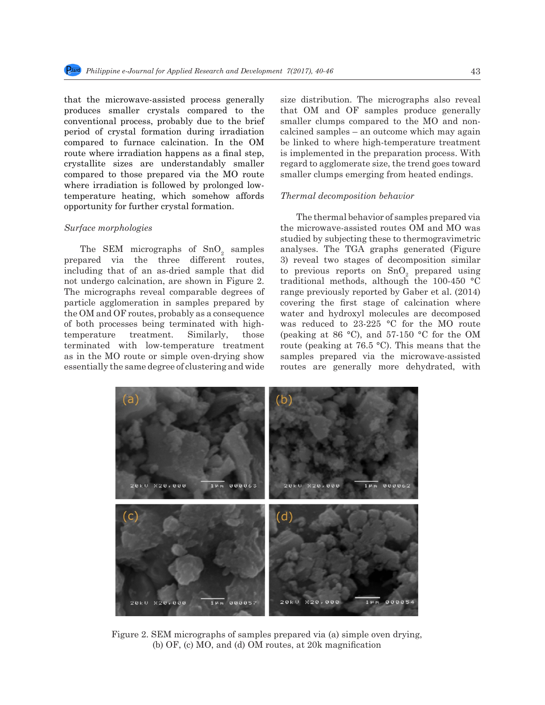that the microwave-assisted process generally produces smaller crystals compared to the conventional process, probably due to the brief period of crystal formation during irradiation compared to furnace calcination. In the OM route where irradiation happens as a final step, crystallite sizes are understandably smaller compared to those prepared via the MO route where irradiation is followed by prolonged lowtemperature heating, which somehow affords opportunity for further crystal formation.

#### *Surface morphologies*

The SEM micrographs of  $SnO<sub>2</sub>$  samples prepared via the three different routes, including that of an as-dried sample that did not undergo calcination, are shown in Figure 2. The micrographs reveal comparable degrees of particle agglomeration in samples prepared by the OM and OF routes, probably as a consequence of both processes being terminated with hightemperature treatment. Similarly, those terminated with low-temperature treatment as in the MO route or simple oven-drying show essentially the same degree of clustering and wide

size distribution. The micrographs also reveal that OM and OF samples produce generally smaller clumps compared to the MO and noncalcined samples – an outcome which may again be linked to where high-temperature treatment is implemented in the preparation process. With regard to agglomerate size, the trend goes toward smaller clumps emerging from heated endings.

#### *Thermal decomposition behavior*

The thermal behavior of samples prepared via the microwave-assisted routes OM and MO was studied by subjecting these to thermogravimetric analyses. The TGA graphs generated (Figure 3) reveal two stages of decomposition similar to previous reports on  $SnO<sub>2</sub>$  prepared using traditional methods, although the 100-450 °C range previously reported by Gaber et al. (2014) covering the first stage of calcination where water and hydroxyl molecules are decomposed was reduced to 23-225 °C for the MO route (peaking at 86 °C), and 57-150 °C for the OM route (peaking at 76.5 °C). This means that the samples prepared via the microwave-assisted routes are generally more dehydrated, with



Figure 2. SEM micrographs of samples prepared via (a) simple oven drying, (b) OF, (c) MO, and (d) OM routes, at 20k magnification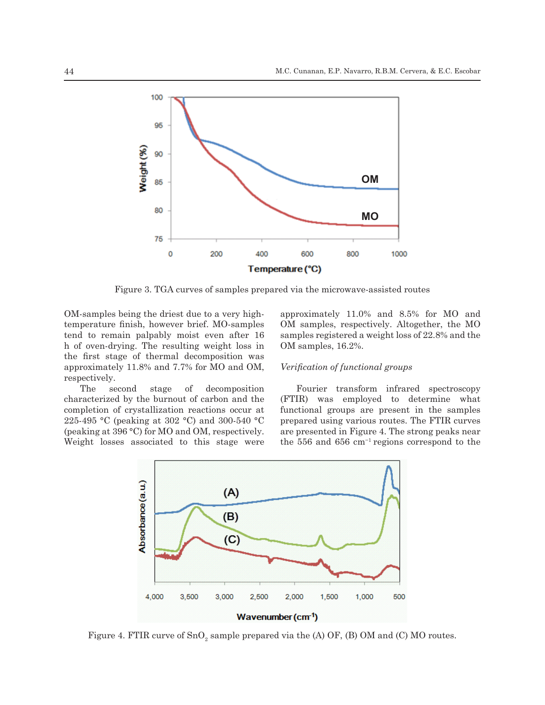

Figure 3. TGA curves of samples prepared via the microwave-assisted routes

OM-samples being the driest due to a very hightemperature finish, however brief. MO-samples tend to remain palpably moist even after 16 h of oven-drying. The resulting weight loss in the first stage of thermal decomposition was approximately 11.8% and 7.7% for MO and OM, respectively.

The second stage of decomposition characterized by the burnout of carbon and the completion of crystallization reactions occur at 225-495 °C (peaking at 302 °C) and 300-540 °C (peaking at 396 °C) for MO and OM, respectively. Weight losses associated to this stage were approximately 11.0% and 8.5% for MO and OM samples, respectively. Altogether, the MO samples registered a weight loss of 22.8% and the OM samples, 16.2%.

## *Verification of functional groups*

Fourier transform infrared spectroscopy (FTIR) was employed to determine what functional groups are present in the samples prepared using various routes. The FTIR curves are presented in Figure 4. The strong peaks near the 556 and 656 cm−1 regions correspond to the



Figure 4. FTIR curve of  $\text{SnO}_2$  sample prepared via the (A) OF, (B) OM and (C) MO routes.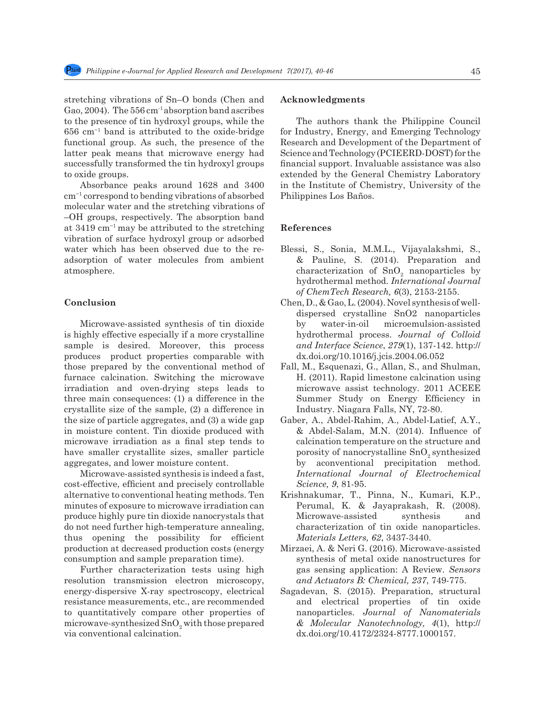stretching vibrations of Sn–O bonds (Chen and Gao, 2004). The  $556 \text{ cm}^{-1}$  absorption band ascribes to the presence of tin hydroxyl groups, while the 656 cm−1 band is attributed to the oxide-bridge functional group. As such, the presence of the latter peak means that microwave energy had successfully transformed the tin hydroxyl groups to oxide groups.

Absorbance peaks around 1628 and 3400 cm−1 correspond to bending vibrations of absorbed molecular water and the stretching vibrations of –OH groups, respectively. The absorption band at 3419 cm−1 may be attributed to the stretching vibration of surface hydroxyl group or adsorbed water which has been observed due to the readsorption of water molecules from ambient atmosphere.

### **Conclusion**

Microwave-assisted synthesis of tin dioxide is highly effective especially if a more crystalline sample is desired. Moreover, this process produces product properties comparable with those prepared by the conventional method of furnace calcination. Switching the microwave irradiation and oven-drying steps leads to three main consequences: (1) a difference in the crystallite size of the sample, (2) a difference in the size of particle aggregates, and (3) a wide gap in moisture content. Tin dioxide produced with microwave irradiation as a final step tends to have smaller crystallite sizes, smaller particle aggregates, and lower moisture content.

Microwave-assisted synthesis is indeed a fast, cost-effective, efficient and precisely controllable alternative to conventional heating methods. Ten minutes of exposure to microwave irradiation can produce highly pure tin dioxide nanocrystals that do not need further high-temperature annealing, thus opening the possibility for efficient production at decreased production costs (energy consumption and sample preparation time).

Further characterization tests using high resolution transmission electron microscopy, energy-dispersive X-ray spectroscopy, electrical resistance measurements, etc., are recommended to quantitatively compare other properties of microwave-synthesized  $\text{SnO}_2$  with those prepared via conventional calcination.

#### **Acknowledgments**

The authors thank the Philippine Council for Industry, Energy, and Emerging Technology Research and Development of the Department of Science and Technology (PCIEERD-DOST) for the financial support. Invaluable assistance was also extended by the General Chemistry Laboratory in the Institute of Chemistry, University of the Philippines Los Baños.

#### **References**

- Blessi, S., Sonia, M.M.L., Vijayalakshmi, S., & Pauline, S. (2014). Preparation and characterization of  $SnO<sub>2</sub>$  nanoparticles by hydrothermal method. *International Journal of ChemTech Research, 6*(3), 2153-2155.
- Chen, D., & Gao, L. (2004). Novel synthesis of welldispersed crystalline SnO2 nanoparticles by water-in-oil microemulsion-assisted hydrothermal process. *Journal of Colloid and Interface Science*, *279*(1), 137-142. http:// dx.doi.org/10.1016/j.jcis.2004.06.052
- Fall, M., Esquenazi, G., Allan, S., and Shulman, H. (2011). Rapid limestone calcination using microwave assist technology. 2011 ACEEE Summer Study on Energy Efficiency in Industry. Niagara Falls, NY, 72-80.
- Gaber, A., Abdel-Rahim, A., Abdel-Latief, A.Y., & Abdel-Salam, M.N. (2014). Influence of calcination temperature on the structure and porosity of nanocrystalline SnO<sub>2</sub> synthesized by aconventional precipitation method. *International Journal of Electrochemical Science, 9*, 81-95.
- Krishnakumar, T., Pinna, N., Kumari, K.P., Perumal, K. & Jayaprakash, R. (2008). Microwave-assisted synthesis and characterization of tin oxide nanoparticles. *Materials Letters, 62*, 3437-3440.
- Mirzaei, A. & Neri G. (2016). Microwave-assisted synthesis of metal oxide nanostructures for gas sensing application: A Review. *Sensors and Actuators B: Chemical, 237*, 749-775.
- Sagadevan, S. (2015). Preparation, structural and electrical properties of tin oxide nanoparticles. *Journal of Nanomaterials & Molecular Nanotechnology, 4*(1), http:// dx.doi.org/10.4172/2324-8777.1000157.